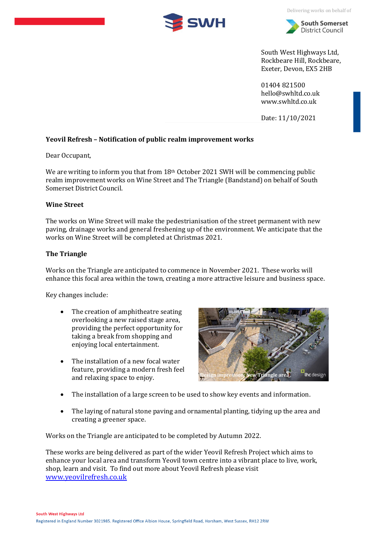

Delivering works on behalf of



South West Highways Ltd, Rockbeare Hill, Rockbeare, Exeter, Devon, EX5 2HB

01404 821500 [hello@swhltd.co.uk](mailto:hello@swhgroup.co.uk) [www.swhltd.co.uk](http://www.swhltd.co.uk/)

Date: 11/10/2021

# **Yeovil Refresh – Notification of public realm improvement works**

Dear Occupant,

We are writing to inform you that from 18<sup>th</sup> October 2021 SWH will be commencing public realm improvement works on Wine Street and The Triangle (Bandstand) on behalf of South Somerset District Council.

# **Wine Street**

The works on Wine Street will make the pedestrianisation of the street permanent with new paving, drainage works and general freshening up of the environment. We anticipate that the works on Wine Street will be completed at Christmas 2021.

# **The Triangle**

Works on the Triangle are anticipated to commence in November 2021. These works will enhance this focal area within the town, creating a more attractive leisure and business space.

Key changes include:

- The creation of amphitheatre seating overlooking a new raised stage area, providing the perfect opportunity for taking a break from shopping and enjoying local entertainment.
- The installation of a new focal water feature, providing a modern fresh feel and relaxing space to enjoy.



- The installation of a large screen to be used to show key events and information.
- The laying of natural stone paving and ornamental planting, tidying up the area and creating a greener space.

Works on the Triangle are anticipated to be completed by Autumn 2022.

These works are being delivered as part of the wider Yeovil Refresh Project which aims to enhance your local area and transform Yeovil town centre into a vibrant place to live, work, shop, learn and visit. To find out more about Yeovil Refresh please visit [www.yeovilrefresh.co.uk](http://www.yeovilrefresh.co.uk/)